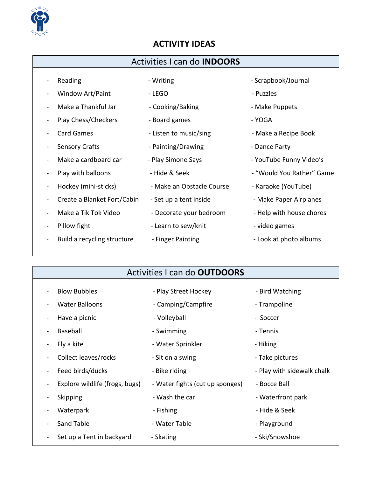

#### **ACTIVITY IDEAS**

### Activities I can do **INDOORS**

| Reading                     | - Writing                 | - Scrapbook/Journal       |
|-----------------------------|---------------------------|---------------------------|
| Window Art/Paint            | - LEGO                    | - Puzzles                 |
| Make a Thankful Jar         | - Cooking/Baking          | - Make Puppets            |
| Play Chess/Checkers         | - Board games             | - YOGA                    |
| <b>Card Games</b>           | - Listen to music/sing    | - Make a Recipe Book      |
| <b>Sensory Crafts</b>       | - Painting/Drawing        | - Dance Party             |
| Make a cardboard car        | - Play Simone Says        | - YouTube Funny Video's   |
| Play with balloons          | - Hide & Seek             | - "Would You Rather" Game |
| Hockey (mini-sticks)        | - Make an Obstacle Course | - Karaoke (YouTube)       |
| Create a Blanket Fort/Cabin | - Set up a tent inside    | - Make Paper Airplanes    |
| Make a Tik Tok Video        | - Decorate your bedroom   | - Help with house chores  |
| Pillow fight                | - Learn to sew/knit       | - video games             |
| Build a recycling structure | - Finger Painting         | - Look at photo albums    |
|                             |                           |                           |

### Activities I can do **OUTDOORS**

| <b>Blow Bubbles</b>            | - Play Street Hockey            | - Bird Watching            |
|--------------------------------|---------------------------------|----------------------------|
| <b>Water Balloons</b>          | - Camping/Campfire              | - Trampoline               |
| Have a picnic                  | - Volleyball                    | - Soccer                   |
| Baseball                       | - Swimming                      | - Tennis                   |
| Fly a kite                     | - Water Sprinkler               | - Hiking                   |
| Collect leaves/rocks           | - Sit on a swing                | - Take pictures            |
| Feed birds/ducks               | - Bike riding                   | - Play with sidewalk chalk |
| Explore wildlife (frogs, bugs) | - Water fights (cut up sponges) | - Bocce Ball               |
| Skipping                       | - Wash the car                  | - Waterfront park          |
| Waterpark                      | - Fishing                       | - Hide & Seek              |
| Sand Table                     | - Water Table                   | - Playground               |
| Set up a Tent in backyard      | - Skating                       | - Ski/Snowshoe             |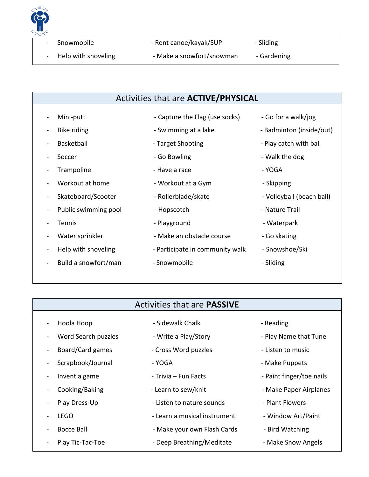

| Snowmobile |  |
|------------|--|
|------------|--|

- Rent canoe/kayak/SUP - Sliding

- 
- Help with shoveling Theoreth Andre a snowfort/snowman Gardening

#### Activities that are **ACTIVE/PHYSICAL**

- 
- 
- 
- 
- 
- 
- Skateboard/Scooter Rollerblade/skate Volleyball (beach ball)
- Public swimming pool  **Hopscotch Nature Trail** Nature Trail
- 
- 
- 
- Build a snowfort/man Snowmobile Snowmobile Sliding
- 
- Trampoline Trampoline Have a race Trampoline YOGA
- Workout at home The Workout at a Gym Theorem Assembly Dented at a Gym
	-
	-
- Tennis **Contract Contract Contract Contract Contract Contract Contract Contract Contract Contract Contract Contract Contract Contract Contract Contract Contract Contract Contract Contract Contract Contract Contract Contrac**
- Water sprinkler Make an obstacle course Go skating
- Help with shoveling Participate in community walk Snowshoe/Ski
	-
- Mini-putt  **Capture the Flag (use socks)** Go for a walk/jog
- Bike riding a summing at a lake Badminton (inside/out)
- Basketball **Example 2** Target Shooting Figure 2 Play catch with ball
- Soccer **Contract Soccer** Go Bowling **Contract Soccer** Walk the dog
	-
	-
	-
	-
	-
	-
	-
	-

#### Activities that are **PASSIVE**

- Hoola Hoop  **Sidewalk Chalk Sidewalk Chalk** Reading
	-
	-
	-
	-
	-
	-
- Play Dress-Up  **Listen to nature sounds** Plant Flowers
	- LEGO **Alternation** Learn a musical instrument and increment of LEGO
	- Bocce Ball **Example 2** Make your own Flash Cards Bird Watching
- Play Tic-Tac-Toe Theep Breathing/Meditate Make Snow Angels
- 
- Word Search puzzles Write a Play/Story Play Name that Tune
- Board/Card games Cross Word puzzles Listen to music
- Scrapbook/Journal YOGA HOGA Make Puppets
- Invent a game Trivia Fun Facts Paint finger/toe nails
	- Cooking/Baking The Learn to sew/knit The Make Paper Airplanes
		-
		-
		-
		-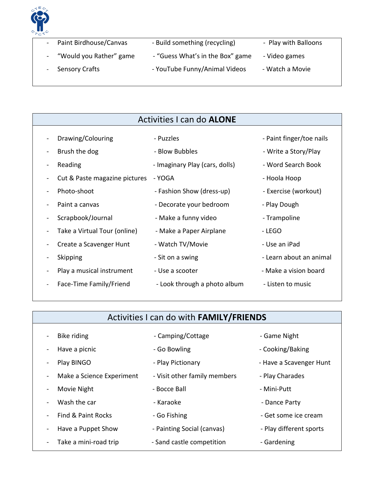

| - Paint Birdhouse/Canvas  | - Build something (recycling)    | - Play with Balloons |
|---------------------------|----------------------------------|----------------------|
| - "Would you Rather" game | - "Guess What's in the Box" game | - Video games        |
| - Sensory Crafts          | - YouTube Funny/Animal Videos    | - Watch a Movie      |

#### Activities I can do **ALONE**

|  | Drawing/Colourin |
|--|------------------|
|--|------------------|

- -
- Cut & Paste magazine pictures YOGA Hoola Hoop Hoola Hoop
	- Photo-shoot  **Fashion Show (dress-up)** Exercise (workout)
	- Paint a canvas **Example 2** Decorate your bedroom Play Dough
- Scrapbook/Journal Make a funny video Trampoline
- Take a Virtual Tour (online) Make a Paper Airplane LEGO
- Create a Scavenger Hunt Watch TV/Movie The Luse an iPad
	- -
	- Face-Time Family/Friend Look through a photo album Listen to music
- ng The Puzzles Puzzles Paint finger/toe nails
- Brush the dog The Show Bubbles Blow Bubbles Write a Story/Play
- Reading Figure Imaginary Play (cars, dolls) Word Search Book
	-
	-
	-
	-
	-
	-
- Skipping contact the Sit on a swing the second section and second section of the Sit of Sit on a swing the Learn about an animal
- Play a musical instrument Use a scooter Make a vision board
	-

# Activities I can do with **FAMILY/FRIENDS** Bike riding and the Camping/Cottage the Game Night state of Game Night Have a picnic  $\sim$  - Go Bowling  $\sim$  - Cooking/Baking - Play BINGO **- Play Pictionary - Play Pictionary** - Have a Scavenger Hunt Make a Science Experiment - Visit other family members - Play Charades - Movie Night - Bocce Ball - Mini-Putt Vash the car The Care - Karaoke Channel Channel Party - Dance Party - Find & Paint Rocks - Go Fishing - Go Fishing - Get some ice cream Have a Puppet Show - Painting Social (canvas) - Play different sports - Take a mini-road trip entity of Sand castle competition on the Gardening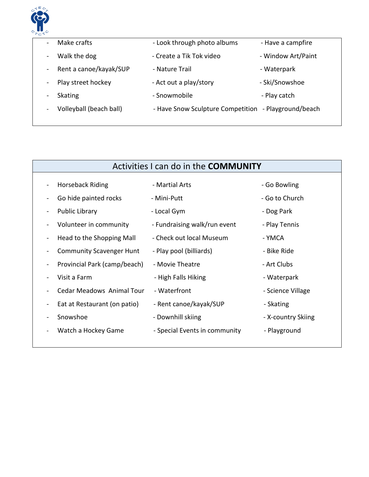

| $\overline{\phantom{a}}$     | Make crafts             | - Look through photo albums                          | - Have a campfire  |
|------------------------------|-------------------------|------------------------------------------------------|--------------------|
| $\blacksquare$               | Walk the dog            | - Create a Tik Tok video                             | - Window Art/Paint |
|                              | Rent a canoe/kayak/SUP  | - Nature Trail                                       | - Waterpark        |
| $\qquad \qquad \blacksquare$ | Play street hockey      | - Act out a play/story                               | - Ski/Snowshoe     |
|                              | <b>Skating</b>          | - Snowmobile                                         | - Play catch       |
|                              | Volleyball (beach ball) | - Have Snow Sculpture Competition - Playground/beach |                    |
|                              |                         |                                                      |                    |

| Activities I can do in the <b>COMMUNITY</b> |                                  |                               |                    |
|---------------------------------------------|----------------------------------|-------------------------------|--------------------|
| -                                           | Horseback Riding                 | - Martial Arts                | - Go Bowling       |
|                                             | Go hide painted rocks            | - Mini-Putt                   | - Go to Church     |
| -                                           | <b>Public Library</b>            | - Local Gym                   | - Dog Park         |
|                                             | Volunteer in community           | - Fundraising walk/run event  | - Play Tennis      |
| -                                           | Head to the Shopping Mall        | - Check out local Museum      | - YMCA             |
| -                                           | <b>Community Scavenger Hunt</b>  | - Play pool (billiards)       | - Bike Ride        |
|                                             | Provincial Park (camp/beach)     | - Movie Theatre               | - Art Clubs        |
|                                             | Visit a Farm                     | - High Falls Hiking           | - Waterpark        |
|                                             | <b>Cedar Meadows Animal Tour</b> | - Waterfront                  | - Science Village  |
| -                                           | Eat at Restaurant (on patio)     | - Rent canoe/kayak/SUP        | - Skating          |
|                                             | Snowshoe                         | - Downhill skiing             | - X-country Skiing |
|                                             | Watch a Hockey Game              | - Special Events in community | - Playground       |
|                                             |                                  |                               |                    |